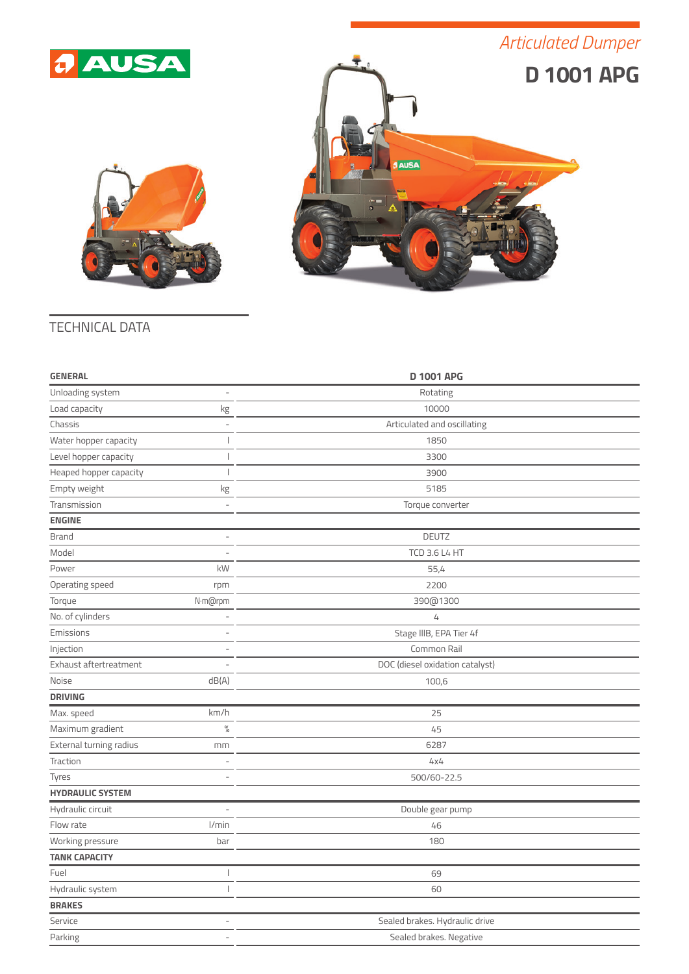## *a* AUSA

## *Articulated Dumper*





## TECHNICAL DATA

| <b>GENERAL</b>          |                          | <b>D 1001 APG</b>               |  |
|-------------------------|--------------------------|---------------------------------|--|
| Unloading system        | $\overline{\phantom{a}}$ | Rotating                        |  |
| Load capacity           | kg                       | 10000                           |  |
| Chassis                 | $\overline{\phantom{a}}$ | Articulated and oscillating     |  |
| Water hopper capacity   | I                        | 1850                            |  |
| Level hopper capacity   | $\overline{\phantom{a}}$ | 3300                            |  |
| Heaped hopper capacity  | I                        | 3900                            |  |
| Empty weight            | $\rm kg$                 | 5185                            |  |
| Transmission            | $\bar{ }$                | Torque converter                |  |
| <b>ENGINE</b>           |                          |                                 |  |
| Brand                   | L,                       | <b>DEUTZ</b>                    |  |
| Model                   |                          | <b>TCD 3.6 L4 HT</b>            |  |
| Power                   | kW                       | 55,4                            |  |
| Operating speed         | rpm                      | 2200                            |  |
| Torque                  | N·m@rpm                  | 390@1300                        |  |
| No. of cylinders        | $\overline{\phantom{a}}$ | 4                               |  |
| Emissions               | $\overline{a}$           | Stage IIIB, EPA Tier 4f         |  |
| Injection               | ÷.                       | Common Rail                     |  |
| Exhaust aftertreatment  | ÷.                       | DOC (diesel oxidation catalyst) |  |
| Noise                   | dB(A)                    | 100,6                           |  |
| <b>DRIVING</b>          |                          |                                 |  |
| Max. speed              | km/h                     | 25                              |  |
| Maximum gradient        | $\frac{0}{0}$            | 45                              |  |
| External turning radius | mm                       | 6287                            |  |
| Traction                |                          | 4x4                             |  |
| Tyres                   |                          | 500/60-22.5                     |  |
| <b>HYDRAULIC SYSTEM</b> |                          |                                 |  |
| Hydraulic circuit       | Ĭ.                       | Double gear pump                |  |
| Flow rate               | l/min                    | 46                              |  |
| Working pressure        | bar                      | 180                             |  |
| <b>TANK CAPACITY</b>    |                          |                                 |  |
| Fuel                    | J                        | 69                              |  |
| Hydraulic system        | I                        | 60                              |  |
| <b>BRAKES</b>           |                          |                                 |  |
| Service                 | ÷                        | Sealed brakes. Hydraulic drive  |  |
| Parking                 | L,                       | Sealed brakes. Negative         |  |